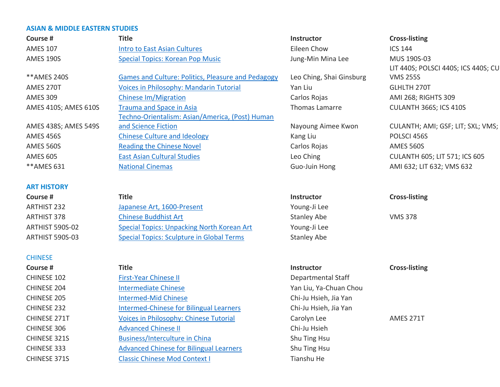# **ASIAN & MIDDLE EASTERN STUDIES**

| Course #             | <b>Title</b>                                              | Instructor               | <b>Cross-listing</b>                 |
|----------------------|-----------------------------------------------------------|--------------------------|--------------------------------------|
| <b>AMES 107</b>      | <b>Intro to East Asian Cultures</b>                       | Eileen Chow              | <b>ICS 144</b>                       |
| <b>AMES 190S</b>     | <b>Special Topics: Korean Pop Music</b>                   | Jung-Min Mina Lee        | MUS 190S-03                          |
|                      |                                                           |                          | LIT 440S; POLSCI 440S; ICS 440S; CU  |
| ** AMES 240S         | <b>Games and Culture: Politics, Pleasure and Pedagogy</b> | Leo Ching, Shai Ginsburg | <b>VMS 255S</b>                      |
| AMES 270T            | Voices in Philosophy: Mandarin Tutorial                   | Yan Liu                  | <b>GLHLTH 270T</b>                   |
| <b>AMES 309</b>      | <b>Chinese Im/Migration</b>                               | Carlos Rojas             | AMI 268; RIGHTS 309                  |
| AMES 410S; AMES 610S | <b>Trauma and Space in Asia</b>                           | Thomas Lamarre           | CULANTH 366S; ICS 410S               |
|                      | Techno-Orientalism: Asian/America, (Post) Human           |                          |                                      |
| AMES 438S; AMES 549S | and Science Fiction                                       | Nayoung Aimee Kwon       | CULANTH; AMI; GSF; LIT; SXL; VMS;    |
| <b>AMES 456S</b>     | <b>Chinese Culture and Ideology</b>                       | Kang Liu                 | POLSCI 456S                          |
| <b>AMES 560S</b>     | <b>Reading the Chinese Novel</b>                          | Carlos Rojas             | <b>AMES 560S</b>                     |
| <b>AMES 605</b>      | <b>East Asian Cultural Studies</b>                        | Leo Ching                | <b>CULANTH 605; LIT 571; ICS 605</b> |
| ** AMES 631          | <b>National Cinemas</b>                                   | Guo-Juin Hong            | AMI 632; LIT 632; VMS 632            |
|                      |                                                           |                          |                                      |
| <b>ART HISTORY</b>   |                                                           |                          |                                      |
| Course #             | <b>Title</b>                                              | <b>Instructor</b>        | <b>Cross-listing</b>                 |
| <b>ARTHIST 232</b>   | Japanese Art, 1600-Present                                | Young-Ji Lee             |                                      |
| <b>ARTHIST 378</b>   | <b>Chinese Buddhist Art</b>                               | <b>Stanley Abe</b>       | <b>VMS 378</b>                       |
| ARTHIST 590S-02      | <b>Special Topics: Unpacking North Korean Art</b>         | Young-Ji Lee             |                                      |
| ARTHIST 590S-03      | <b>Special Topics: Sculpture in Global Terms</b>          | <b>Stanley Abe</b>       |                                      |
|                      |                                                           |                          |                                      |
| <b>CHINESE</b>       |                                                           |                          |                                      |
| Course #             | <b>Title</b>                                              | Instructor               | <b>Cross-listing</b>                 |
| CHINESE 102          | <b>First-Year Chinese II</b>                              | Departmental Staff       |                                      |
| CHINESE 204          | <b>Intermediate Chinese</b>                               | Yan Liu, Ya-Chuan Chou   |                                      |
| CHINESE 205          | <b>Intermed-Mid Chinese</b>                               | Chi-Ju Hsieh, Jia Yan    |                                      |
| CHINESE 232          | <b>Intermed-Chinese for Bilingual Learners</b>            | Chi-Ju Hsieh, Jia Yan    |                                      |
| CHINESE 271T         | Voices in Philosophy: Chinese Tutorial                    | Carolyn Lee              | AMES 271T                            |
| CHINESE 306          | <b>Advanced Chinese II</b>                                | Chi-Ju Hsieh             |                                      |
| CHINESE 321S         | <b>Business/Interculture in China</b>                     | Shu Ting Hsu             |                                      |
| CHINESE 333          | <b>Advanced Chinese for Bilingual Learners</b>            | Shu Ting Hsu             |                                      |
| CHINESE 371S         | <b>Classic Chinese Mod Context I</b>                      | Tianshu He               |                                      |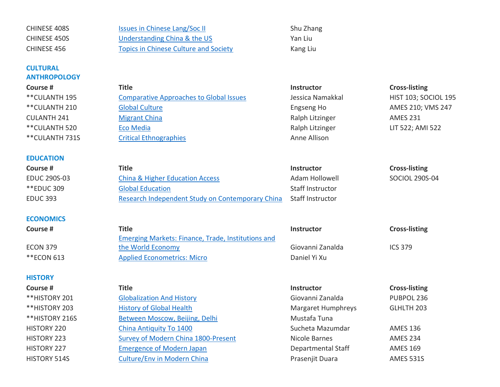| CHINESE 408S          | <b>Issues in Chinese Lang/Soc II</b>                      | Shu Zhang                 |                             |
|-----------------------|-----------------------------------------------------------|---------------------------|-----------------------------|
| CHINESE 450S          | <b>Understanding China &amp; the US</b>                   | Yan Liu                   |                             |
| CHINESE 456           | <b>Topics in Chinese Culture and Society</b>              | Kang Liu                  |                             |
| <b>CULTURAL</b>       |                                                           |                           |                             |
| <b>ANTHROPOLOGY</b>   |                                                           |                           |                             |
| Course #              | <b>Title</b>                                              | Instructor                | <b>Cross-listing</b>        |
| <b>** CULANTH 195</b> | <b>Comparative Approaches to Global Issues</b>            | Jessica Namakkal          | <b>HIST 103; SOCIOL 195</b> |
| ** CULANTH 210        | <b>Global Culture</b>                                     | Engseng Ho                | AMES 210; VMS 247           |
| <b>CULANTH 241</b>    | <b>Migrant China</b>                                      | Ralph Litzinger           | <b>AMES 231</b>             |
| ** CULANTH 520        | <b>Eco Media</b>                                          | Ralph Litzinger           | LIT 522; AMI 522            |
| ** CULANTH 731S       | <b>Critical Ethnographies</b>                             | Anne Allison              |                             |
|                       |                                                           |                           |                             |
| <b>EDUCATION</b>      |                                                           |                           |                             |
| Course #              | <b>Title</b>                                              | <b>Instructor</b>         | <b>Cross-listing</b>        |
| <b>EDUC 290S-03</b>   | <b>China &amp; Higher Education Access</b>                | Adam Hollowell            | SOCIOL 290S-04              |
| <b>**EDUC 309</b>     | <b>Global Education</b>                                   | <b>Staff Instructor</b>   |                             |
| <b>EDUC 393</b>       | Research Independent Study on Contemporary China          | <b>Staff Instructor</b>   |                             |
|                       |                                                           |                           |                             |
| <b>ECONOMICS</b>      |                                                           |                           |                             |
| Course #              | <b>Title</b>                                              | Instructor                | <b>Cross-listing</b>        |
|                       | <b>Emerging Markets: Finance, Trade, Institutions and</b> |                           |                             |
| <b>ECON 379</b>       | the World Economy                                         | Giovanni Zanalda          | <b>ICS 379</b>              |
| <b>**ECON 613</b>     | <b>Applied Econometrics: Micro</b>                        | Daniel Yi Xu              |                             |
|                       |                                                           |                           |                             |
| <b>HISTORY</b>        |                                                           |                           |                             |
| Course #              | <b>Title</b>                                              | Instructor                | <b>Cross-listing</b>        |
| **HISTORY 201         | <b>Globalization And History</b>                          | Giovanni Zanalda          | PUBPOL 236                  |
| **HISTORY 203         | <b>History of Global Health</b>                           | <b>Margaret Humphreys</b> | GLHLTH 203                  |
| **HISTORY 216S        | Between Moscow, Beijing, Delhi                            | Mustafa Tuna              |                             |
| HISTORY 220           | China Antiquity To 1400                                   | Sucheta Mazumdar          | <b>AMES 136</b>             |
| HISTORY 223           | Survey of Modern China 1800-Present                       | Nicole Barnes             | <b>AMES 234</b>             |
| <b>HISTORY 227</b>    | <b>Emergence of Modern Japan</b>                          | Departmental Staff        | <b>AMES 169</b>             |
| HISTORY 514S          | <b>Culture/Env in Modern China</b>                        | Prasenjit Duara           | <b>AMES 531S</b>            |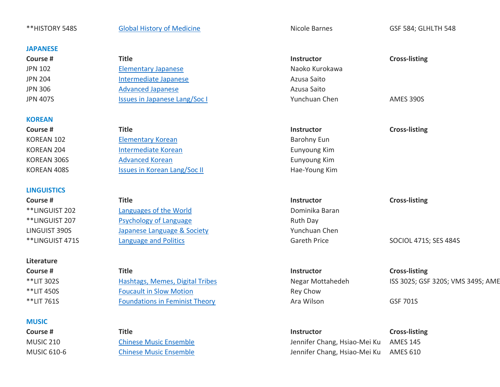\*\*HISTORY 548S [Global History of Medicine](https://history.duke.edu/courses/global-history-medicine-0) Nicole Barnes Nicole Barnes GSF 584; GLHLTH 548

**JAPANESE**

| ourse #          | <b>Title</b>                  |
|------------------|-------------------------------|
| N 102            | <b>Elementary Japanese</b>    |
| <sup>N</sup> 204 | Intermediate Japanese         |
| <b>N 306</b>     | <b>Advanced Japanese</b>      |
| N 407S           | Issues in Japanese Lang/Soc I |
|                  |                               |

### **KOREAN**

# **LINGUISTICS**

#### **Literature**

## **MUSIC**

| Title                         | <b>Instructor</b> | <b>Cross-listing</b> |
|-------------------------------|-------------------|----------------------|
| <b>Elementary Japanese</b>    | Naoko Kurokawa    |                      |
| Intermediate Japanese         | Azusa Saito       |                      |
| <b>Advanced Japanese</b>      | Azusa Saito       |                      |
| Issues in Japanese Lang/Soc I | Yunchuan Chen     | AMES 390S            |
|                               |                   |                      |

**Course # Title Instructor Cross-listing** KOREAN 102 [Elementary Korean](https://asianmideast.duke.edu/courses/elementary-korean-19) Barohny Eun KOREAN 204 [Intermediate Korean](https://asianmideast.duke.edu/courses/intermediate-korean-17) **Intermediate Korean** Eunyoung Kim KOREAN 306S [Advanced Korean](https://asianmideast.duke.edu/courses/advanced-korean-6) Eunyoung Kim KOREAN 408S **ISSUES In Korean Lang/Soc II Hae-Young Kim** 

**Course # Title Instructor Cross-listing** \*\*LINGUIST 202 [Languages of the World](https://linguisticsprogram.duke.edu/courses/languages-world-3) **Example 202** Dominika Baran \*\*LINGUIST 207 [Psychology of Language](https://linguisticsprogram.duke.edu/courses/psychology-language-2) Ruth Day LINGUIST 390S [Japanese Language & Society](https://linguisticsprogram.duke.edu/courses/language-and-politics-3) Yunchuan Chen \*\*LINGUIST 471S [Language and Politics](https://linguisticsprogram.duke.edu/courses/language-and-politics-3) Careth Price SOCIOL 471S; SES 484S

\*\*LIT 450S [Foucault in Slow Motion](https://literature.duke.edu/courses/foucault-slow-motion) Rey Chow \*\*LIT 761S **[Foundations in Feminist Theory](https://literature.duke.edu/courses/foundations-feminist-theory-4) Ara Wilson** GSF 701S

| <b>Instructor</b> | <b>Cross-listing</b> |
|-------------------|----------------------|
| Naoko Kurokawa    |                      |
| Azusa Saito       |                      |
| Azusa Saito       |                      |
| Yunchuan Chen     | <b>AMES 390S</b>     |

**Course # Title Instructor Cross-listing**

\*\*LIT 302S [Hashtags, Memes, Digital Tribes](https://literature.duke.edu/courses/hashtags-memes-digital-tribes-2) Negar Mottahedeh ISS 302S; GSF 320S; VMS 349S; AME

**Course # Title Instructor Cross-listing** MUSIC 210 [Chinese Music Ensemble](https://music.duke.edu/courses/chinese-music-ensemble-1) Jennifer Chang, Hsiao-Mei Ku AMES 145 MUSIC 610-6 [Chinese Music Ensemble](https://music.duke.edu/courses/chinese-music-ensemble-2) Jennifer Chang, Hsiao-Mei Ku AMES 610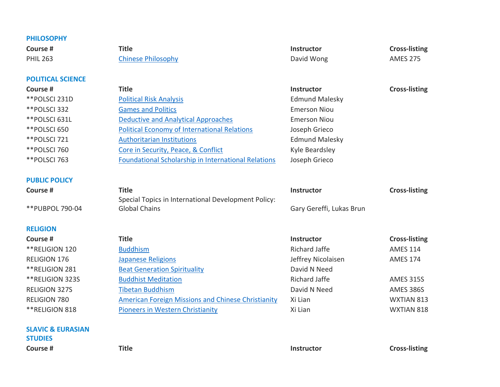| Course #                                       | <b>Title</b>                                               | <b>Instructor</b>        | <b>Cross-listing</b> |
|------------------------------------------------|------------------------------------------------------------|--------------------------|----------------------|
| <b>SLAVIC &amp; EURASIAN</b><br><b>STUDIES</b> |                                                            |                          |                      |
| **RELIGION 818                                 | <b>Pioneers in Western Christianity</b>                    | Xi Lian                  | WXTIAN 818           |
| <b>RELIGION 780</b>                            | <b>American Foreign Missions and Chinese Christianity</b>  | Xi Lian                  | WXTIAN 813           |
| <b>RELIGION 327S</b>                           | <b>Tibetan Buddhism</b>                                    | David N Need             | <b>AMES 386S</b>     |
| ** RELIGION 323S                               | <b>Buddhist Meditation</b>                                 | <b>Richard Jaffe</b>     | <b>AMES 315S</b>     |
| **RELIGION 281                                 | <b>Beat Generation Spirituality</b>                        | David N Need             |                      |
| <b>RELIGION 176</b>                            | <b>Japanese Religions</b>                                  | Jeffrey Nicolaisen       | <b>AMES 174</b>      |
| ** RELIGION 120                                | <b>Buddhism</b>                                            | <b>Richard Jaffe</b>     | <b>AMES 114</b>      |
| Course #                                       | <b>Title</b>                                               | Instructor               | <b>Cross-listing</b> |
| <b>RELIGION</b>                                |                                                            |                          |                      |
| **PUBPOL 790-04                                | <b>Global Chains</b>                                       | Gary Gereffi, Lukas Brun |                      |
|                                                | Special Topics in International Development Policy:        |                          |                      |
| Course #                                       | <b>Title</b>                                               | Instructor               | <b>Cross-listing</b> |
| <b>PUBLIC POLICY</b>                           |                                                            |                          |                      |
| **POLSCI 763                                   | <b>Foundational Scholarship in International Relations</b> | Joseph Grieco            |                      |
| ** POLSCI 760                                  | Core in Security, Peace, & Conflict                        | Kyle Beardsley           |                      |
| **POLSCI 721                                   | <b>Authoritarian Institutions</b>                          | <b>Edmund Malesky</b>    |                      |
| **POLSCI 650                                   | <b>Political Economy of International Relations</b>        | Joseph Grieco            |                      |
| **POLSCI 631L                                  | <b>Deductive and Analytical Approaches</b>                 | <b>Emerson Niou</b>      |                      |
| **POLSCI 332                                   | <b>Games and Politics</b>                                  | <b>Emerson Niou</b>      |                      |
| **POLSCI 231D                                  | <b>Political Risk Analysis</b>                             | <b>Edmund Malesky</b>    |                      |
| Course #                                       | <b>Title</b>                                               | Instructor               | <b>Cross-listing</b> |
| <b>POLITICAL SCIENCE</b>                       |                                                            |                          |                      |
| <b>PHIL 263</b>                                | <b>Chinese Philosophy</b>                                  | David Wong               | <b>AMES 275</b>      |
| Course #                                       | <b>Title</b>                                               | Instructor               | <b>Cross-listing</b> |
| <b>PHILOSOPHY</b>                              |                                                            |                          |                      |